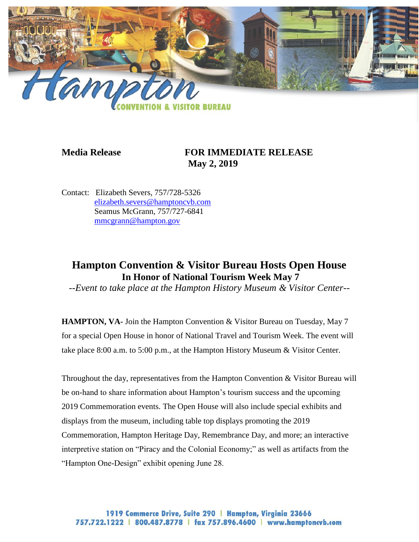

# **Media Release FOR IMMEDIATE RELEASE May 2, 2019**

Contact: Elizabeth Severs, 757/728-5326 [elizabeth.severs@hamptoncvb.com](mailto:elizabeth.severs@hamptoncvb.com) Seamus McGrann, 757/727-6841 [mmcgrann@hampton.gov](mailto:mmcgrann@hampton.gov)

# **Hampton Convention & Visitor Bureau Hosts Open House In Honor of National Tourism Week May 7**

*--Event to take place at the Hampton History Museum & Visitor Center--*

**HAMPTON, VA-** Join the Hampton Convention & Visitor Bureau on Tuesday, May 7 for a special Open House in honor of National Travel and Tourism Week. The event will take place 8:00 a.m. to 5:00 p.m., at the Hampton History Museum & Visitor Center.

Throughout the day, representatives from the Hampton Convention & Visitor Bureau will be on-hand to share information about Hampton's tourism success and the upcoming 2019 Commemoration events. The Open House will also include special exhibits and displays from the museum, including table top displays promoting the 2019 Commemoration, Hampton Heritage Day, Remembrance Day, and more; an interactive interpretive station on "Piracy and the Colonial Economy;" as well as artifacts from the "Hampton One-Design" exhibit opening June 28.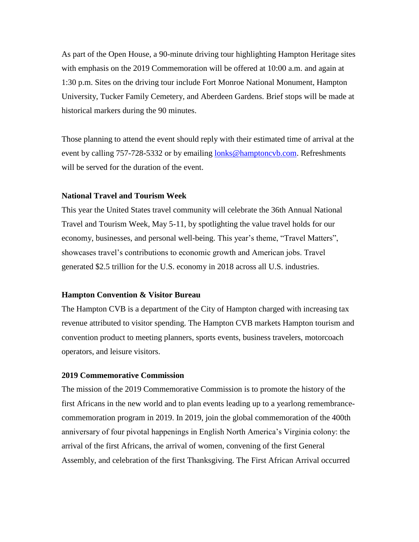As part of the Open House, a 90-minute driving tour highlighting Hampton Heritage sites with emphasis on the 2019 Commemoration will be offered at 10:00 a.m. and again at 1:30 p.m. Sites on the driving tour include Fort Monroe National Monument, Hampton University, Tucker Family Cemetery, and Aberdeen Gardens. Brief stops will be made at historical markers during the 90 minutes.

Those planning to attend the event should reply with their estimated time of arrival at the event by calling 757-728-5332 or by emailing [lonks@hamptoncvb.com.](mailto:lonks@hamptoncvb.com) Refreshments will be served for the duration of the event.

# **National Travel and Tourism Week**

This year the United States travel community will celebrate the 36th Annual National Travel and Tourism Week, May 5-11, by spotlighting the value travel holds for our economy, businesses, and personal well-being. This year's theme, "Travel Matters", showcases travel's contributions to economic growth and American jobs. Travel generated \$2.5 trillion for the U.S. economy in 2018 across all U.S. industries.

## **Hampton Convention & Visitor Bureau**

The Hampton CVB is a department of the City of Hampton charged with increasing tax revenue attributed to visitor spending. The Hampton CVB markets Hampton tourism and convention product to meeting planners, sports events, business travelers, motorcoach operators, and leisure visitors.

### **2019 Commemorative Commission**

The mission of the 2019 Commemorative Commission is to promote the history of the first Africans in the new world and to plan events leading up to a yearlong remembrancecommemoration program in 2019. In 2019, join the global commemoration of the 400th anniversary of four pivotal happenings in English North America's Virginia colony: the arrival of the first Africans, the arrival of women, convening of the first General Assembly, and celebration of the first Thanksgiving. The First African Arrival occurred